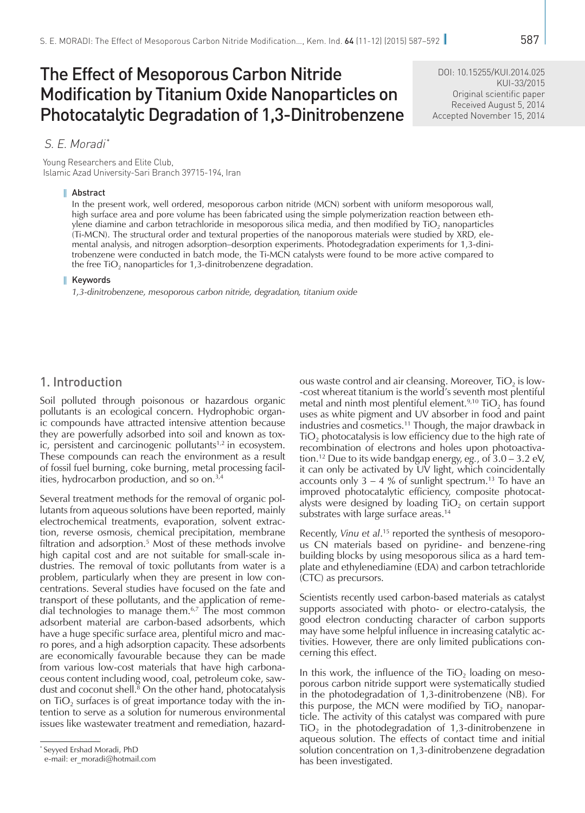# The Effect of Mesoporous Carbon Nitride Modification by Titanium Oxide Nanoparticles on Photocatalytic Degradation of 1,3-Dinitrobenzene

DOI: [10.15255/KUI.2014.025](http://dx.doi.org/10.15255/KUI.2014.025) KUI-33/2015 Original scientific paper Received August 5, 2014 Accepted November 15, 2014

### S. E. Moradi\*

Young Researchers and Elite Club, Islamic Azad University-Sari Branch 39715-194, Iran

### Abstract

In the present work, well ordered, mesoporous carbon nitride (MCN) sorbent with uniform mesoporous wall, high surface area and pore volume has been fabricated using the simple polymerization reaction between ethylene diamine and carbon tetrachloride in mesoporous silica media, and then modified by  $TiO<sub>2</sub>$  nanoparticles (Ti-MCN). The structural order and textural properties of the nanoporous materials were studied by XRD, elemental analysis, and nitrogen adsorption–desorption experiments. Photodegradation experiments for 1,3-dinitrobenzene were conducted in batch mode, the Ti-MCN catalysts were found to be more active compared to the free  $TiO<sub>2</sub>$  nanoparticles for 1,3-dinitrobenzene degradation.

#### H. Keywords

*1,3-dinitrobenzene, mesoporous carbon nitride, degradation, titanium oxide*

### 1. Introduction

Soil polluted through poisonous or hazardous organic pollutants is an ecological concern. Hydrophobic organic compounds have attracted intensive attention because they are powerfully adsorbed into soil and known as toxic, persistent and carcinogenic pollutants $1,2$  in ecosystem. These compounds can reach the environment as a result of fossil fuel burning, coke burning, metal processing facilities, hydrocarbon production, and so on.3,4

Several treatment methods for the removal of organic pollutants from aqueous solutions have been reported, mainly electrochemical treatments, evaporation, solvent extraction, reverse osmosis, chemical precipitation, membrane filtration and adsorption.<sup>5</sup> Most of these methods involve high capital cost and are not suitable for small-scale industries. The removal of toxic pollutants from water is a problem, particularly when they are present in low concentrations. Several studies have focused on the fate and transport of these pollutants, and the application of remedial technologies to manage them.6,7 The most common adsorbent material are carbon-based adsorbents, which have a huge specific surface area, plentiful micro and macro pores, and a high adsorption capacity. These adsorbents are economically favourable because they can be made from various low-cost materials that have high carbonaceous content including wood, coal, petroleum coke, sawdust and coconut shell.8 On the other hand, photocatalysis on  $TiO<sub>2</sub>$  surfaces is of great importance today with the intention to serve as a solution for numerous environmental issues like wastewater treatment and remediation, hazardous waste control and air cleansing. Moreover,  $TiO<sub>2</sub>$  is low--cost whereat titanium is the world's seventh most plentiful metal and ninth most plentiful element.<sup>9,10</sup> TiO<sub>2</sub> has found uses as white pigment and UV absorber in food and paint industries and cosmetics.<sup>11</sup> Though, the major drawback in  $TiO<sub>2</sub>$  photocatalysis is low efficiency due to the high rate of recombination of electrons and holes upon photoactivation.12 Due to its wide bandgap energy, *eg.*, of 3.0 – 3.2 eV, it can only be activated by UV light, which coincidentally accounts only  $3 - 4$  % of sunlight spectrum.<sup>13</sup> To have an improved photocatalytic efficiency, composite photocatalysts were designed by loading  $TiO<sub>2</sub>$  on certain support substrates with large surface areas.<sup>14</sup>

Recently, Vinu et al.<sup>15</sup> reported the synthesis of mesoporous CN materials based on pyridine- and benzene-ring building blocks by using mesoporous silica as a hard template and ethylenediamine (EDA) and carbon tetrachloride (CTC) as precursors.

Scientists recently used carbon-based materials as catalyst supports associated with photo- or electro-catalysis, the good electron conducting character of carbon supports may have some helpful influence in increasing catalytic activities. However, there are only limited publications concerning this effect.

In this work, the influence of the  $TiO<sub>2</sub>$  loading on mesoporous carbon nitride support were systematically studied in the photodegradation of 1,3-dinitrobenzene (NB). For this purpose, the MCN were modified by  $TiO<sub>2</sub>$  nanoparticle. The activity of this catalyst was compared with pure  $TiO<sub>2</sub>$  in the photodegradation of 1,3-dinitrobenzene in aqueous solution. The effects of contact time and initial solution concentration on 1,3-dinitrobenzene degradation has been investigated.

<sup>\*</sup> Seyyed Ershad Moradi, PhD

e-mail: [er\\_moradi@hotmail.com](mailto:er_moradi%40hotmail.com?subject=)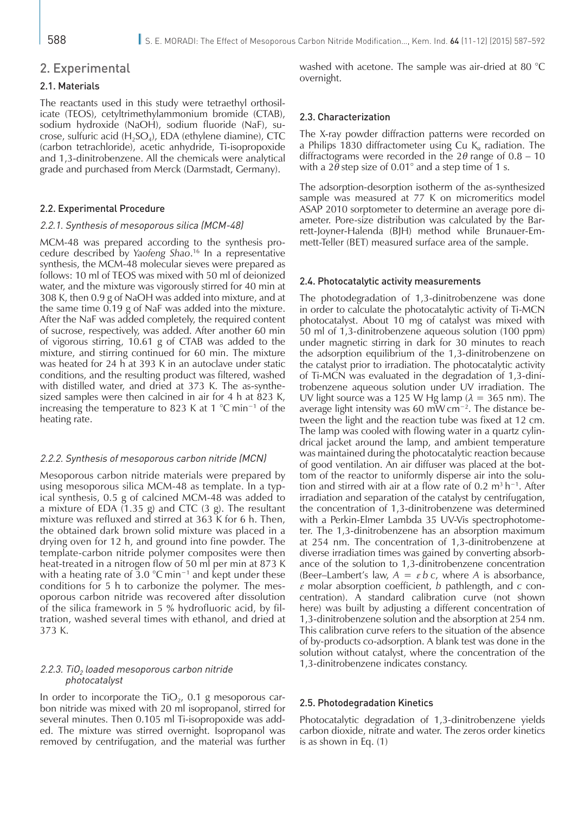### 2. Experimental

### 2.1. Materials

The reactants used in this study were tetraethyl orthosilicate (TEOS), cetyltrimethylammonium bromide (CTAB), sodium hydroxide (NaOH), sodium fluoride (NaF), sucrose, sulfuric acid  $(H_2SO_4)$ , EDA (ethylene diamine), CTC (carbon tetrachloride), acetic anhydride, Ti-isopropoxide and 1,3-dinitrobenzene. All the chemicals were analytical grade and purchased from Merck (Darmstadt, Germany).

#### 2.2. Experimental Procedure

### 2.2.1. Synthesis of mesoporous silica (MCM-48)

MCM-48 was prepared according to the synthesis procedure described by *Yaofeng Shao*. 16 In a representative synthesis, the MCM-48 molecular sieves were prepared as follows: 10 ml of TEOS was mixed with 50 ml of deionized water, and the mixture was vigorously stirred for 40 min at 308 K, then 0.9 g of NaOH was added into mixture, and at the same time 0.19 g of NaF was added into the mixture. After the NaF was added completely, the required content of sucrose, respectively, was added. After another 60 min of vigorous stirring, 10.61 g of CTAB was added to the mixture, and stirring continued for 60 min. The mixture was heated for 24 h at 393 K in an autoclave under static conditions, and the resulting product was filtered, washed with distilled water, and dried at 373 K. The as-synthesized samples were then calcined in air for 4 h at 823 K, increasing the temperature to 823 K at 1 °C min−1 of the heating rate.

### 2.2.2. Synthesis of mesoporous carbon nitride (MCN)

Mesoporous carbon nitride materials were prepared by using mesoporous silica MCM-48 as template. In a typical synthesis, 0.5 g of calcined MCM-48 was added to a mixture of EDA (1.35 g) and CTC (3 g). The resultant mixture was refluxed and stirred at 363 K for 6 h. Then, the obtained dark brown solid mixture was placed in a drying oven for 12 h, and ground into fine powder. The template-carbon nitride polymer composites were then heat-treated in a nitrogen flow of 50 ml per min at 873 K with a heating rate of 3.0 °C min<sup>-1</sup> and kept under these conditions for 5 h to carbonize the polymer. The mesoporous carbon nitride was recovered after dissolution of the silica framework in 5 % hydrofluoric acid, by filtration, washed several times with ethanol, and dried at 373 K.

### 2.2.3. TiO<sub>2</sub> loaded mesoporous carbon nitride photocatalyst

In order to incorporate the  $TiO<sub>2</sub>$ , 0.1 g mesoporous carbon nitride was mixed with 20 ml isopropanol, stirred for several minutes. Then 0.105 ml Ti-isopropoxide was added. The mixture was stirred overnight. Isopropanol was removed by centrifugation, and the material was further washed with acetone. The sample was air-dried at 80 °C overnight.

### 2.3. Characterization

The X-ray powder diffraction patterns were recorded on a Philips 1830 diffractometer using Cu  $K_{\alpha}$  radiation. The diffractograms were recorded in the 2*θ* range of 0.8 – 10 with a  $2\bar{\theta}$  step size of 0.01° and a step time of 1 s.

The adsorption-desorption isotherm of the as-synthesized sample was measured at 77 K on micromeritics model ASAP 2010 sorptometer to determine an average pore diameter. Pore-size distribution was calculated by the Barrett-Joyner-Halenda (BJH) method while Brunauer-Emmett-Teller (BET) measured surface area of the sample.

### 2.4. Photocatalytic activity measurements

The photodegradation of 1,3-dinitrobenzene was done in order to calculate the photocatalytic activity of Ti-MCN photocatalyst. About 10 mg of catalyst was mixed with 50 ml of 1,3-dinitrobenzene aqueous solution (100 ppm) under magnetic stirring in dark for 30 minutes to reach the adsorption equilibrium of the 1,3-dinitrobenzene on the catalyst prior to irradiation. The photocatalytic activity of Ti-MCN was evaluated in the degradation of 1,3-dinitrobenzene aqueous solution under UV irradiation. The UV light source was a 125 W Hg lamp ( $\lambda = 365$  nm). The average light intensity was 60 mW cm−2. The distance between the light and the reaction tube was fixed at 12 cm. The lamp was cooled with flowing water in a quartz cylindrical jacket around the lamp, and ambient temperature was maintained during the photocatalytic reaction because of good ventilation. An air diffuser was placed at the bottom of the reactor to uniformly disperse air into the solution and stirred with air at a flow rate of 0.2 m<sup>3</sup> h<sup>-1</sup>. After irradiation and separation of the catalyst by centrifugation, the concentration of 1,3-dinitrobenzene was determined with a Perkin-Elmer Lambda 35 UV-Vis spectrophotometer. The 1,3-dinitrobenzene has an absorption maximum at 254 nm. The concentration of 1,3-dinitrobenzene at diverse irradiation times was gained by converting absorbance of the solution to 1,3-dinitrobenzene concentration (Beer–Lambert's law,  $A = \varepsilon b c$ , where A is absorbance, *ε* molar absorption coefficient, *b* pathlength, and *c* concentration). A standard calibration curve (not shown here) was built by adjusting a different concentration of 1,3-dinitrobenzene solution and the absorption at 254 nm. This calibration curve refers to the situation of the absence of by-products co-adsorption. A blank test was done in the solution without catalyst, where the concentration of the 1,3-dinitrobenzene indicates constancy.

#### 2.5. Photodegradation Kinetics

Photocatalytic degradation of 1,3-dinitrobenzene yields carbon dioxide, nitrate and water. The zeros order kinetics is as shown in Eq. (1)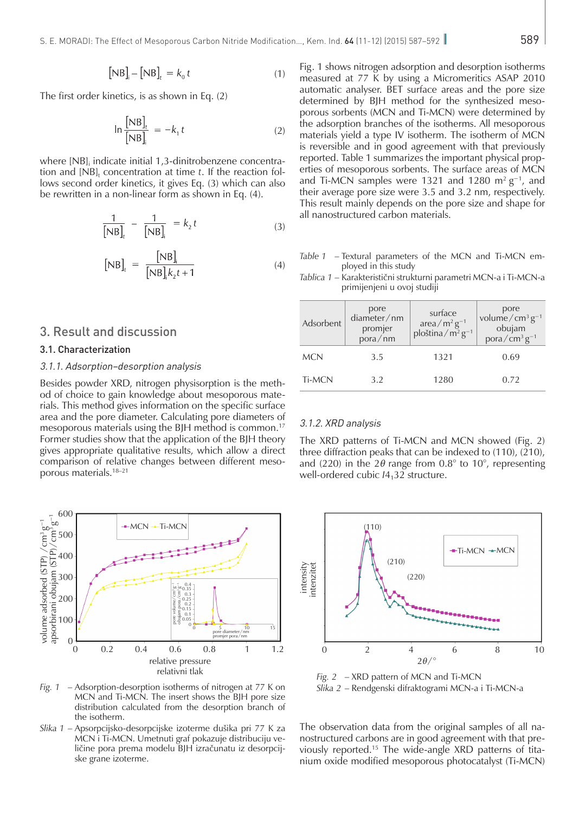The first order kinetics, is as shown in Eq. (2)

$$
\ln \frac{\left[\text{NB}\right]_t}{\left[\text{NB}\right]_i} = -k_1 t \tag{2}
$$

where [NB]<sub>i</sub> indicate initial 1,3-dinitrobenzene concentration and  $[NB]_t$  concentration at time  $t$ . If the reaction follows second order kinetics, it gives Eq. (3) which can also be rewritten in a non-linear form as shown in Eq. (4).

$$
\frac{1}{[NB]_{t}} - \frac{1}{[NB]_{i}} = k_{2} t
$$
 (3)

$$
[NB]_t = \frac{[NB]}{[NB]k_2t + 1}
$$
 (4)

### 3. Result and discussion

#### 3.1. Characterization

### 3.1.1. Adsorption–desorption analysis

Besides powder XRD, nitrogen physisorption is the method of choice to gain knowledge about mesoporous materials. This method gives information on the specific surface area and the pore diameter. Calculating pore diameters of mesoporous materials using the BJH method is common.17 Former studies show that the application of the BJH theory gives appropriate qualitative results, which allow a direct comparison of relative changes between different mesoporous materials.18–21



*Fig. 1* – Adsorption-desorption isotherms of nitrogen at 77 K on MCN and Ti-MCN. The insert shows the BJH pore size distribution calculated from the desorption branch of the isotherm.

*Slika 1* – Apsorpcijsko-desorpcijske izoterme dušika pri 77 K za MCN i Ti-MCN. Umetnuti graf pokazuje distribuciju veličine pora prema modelu BJH izračunatu iz desorpcijske grane izoterme.

Fig. 1 shows nitrogen adsorption and desorption isotherms measured at 77 K by using a Micromeritics ASAP 2010 automatic analyser. BET surface areas and the pore size determined by BJH method for the synthesized mesoporous sorbents (MCN and Ti-MCN) were determined by the adsorption branches of the isotherms. All mesoporous materials yield a type IV isotherm. The isotherm of MCN is reversible and in good agreement with that previously reported. Table 1 summarizes the important physical properties of mesoporous sorbents. The surface areas of MCN and Ti-MCN samples were 1321 and 1280 m<sup>2</sup> g<sup>-1</sup>, and their average pore size were 3.5 and 3.2 nm, respectively. This result mainly depends on the pore size and shape for all nanostructured carbon materials.

*Table 1* – Textural parameters of the MCN and Ti-MCN employed in this study

| Adsorbent  | pore<br>diameter/nm<br>promjer<br>pora/nm | surface<br>area/m <sup>2</sup> g <sup>-1</sup><br>ploština/m <sup>2</sup> g <sup>-1</sup> | pore<br>volume/cm <sup>3</sup> $g^{-1}$<br>obujam<br>pora/ $\text{cm}^3 \text{ g}^{-1}$ |
|------------|-------------------------------------------|-------------------------------------------------------------------------------------------|-----------------------------------------------------------------------------------------|
| <b>MCN</b> | 3.5                                       | 1321                                                                                      | 0.69                                                                                    |
| Ti-MCN     | 3.2                                       | 1280                                                                                      | 0.72                                                                                    |

*Tablica 1* – Karakteristični strukturni parametri MCN-a i Ti-MCN-a primijenjeni u ovoj studiji

#### 3.1.2. XRD analysis

The XRD patterns of Ti-MCN and MCN showed (Fig. 2) three diffraction peaks that can be indexed to (110), (210), and (220) in the  $2\theta$  range from 0.8° to 10°, representing well-ordered cubic  $I4<sub>1</sub>32$  structure.



*Fig. 2* – XRD pattern of MCN and Ti-MCN *Slika 2* – Rendgenski difraktogrami MCN-a i Ti-MCN-a

The observation data from the original samples of all nanostructured carbons are in good agreement with that previously reported.15 The wide-angle XRD patterns of titanium oxide modified mesoporous photocatalyst (Ti-MCN)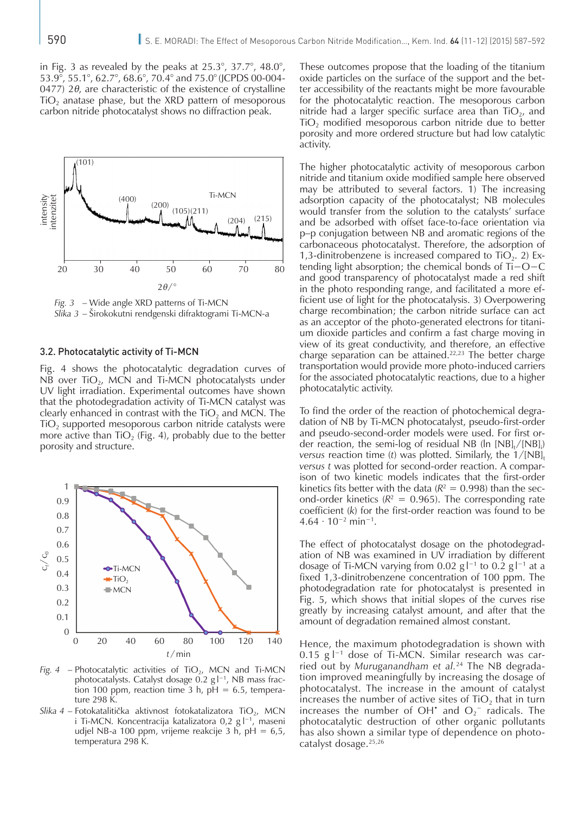in Fig. 3 as revealed by the peaks at 25.3°, 37.7°, 48.0°, 53.9°, 55.1°, 62.7°, 68.6°, 70.4° and 75.0°(JCPDS 00-004- 0477) 2*θ*, are characteristic of the existence of crystalline  $TiO<sub>2</sub>$  anatase phase, but the XRD pattern of mesoporous carbon nitride photocatalyst shows no diffraction peak.



*Fig. 3* – Wide angle XRD patterns of Ti-MCN *Slika 3* – Širokokutni rendgenski difraktogrami Ti-MCN-a

### 3.2. Photocatalytic activity of Ti-MCN

Fig. 4 shows the photocatalytic degradation curves of NB over  $TiO<sub>2</sub>$ , MCN and Ti-MCN photocatalysts under UV light irradiation. Experimental outcomes have shown that the photodegradation activity of Ti-MCN catalyst was clearly enhanced in contrast with the  $TiO<sub>2</sub>$  and MCN. The  $TiO<sub>2</sub>$  supported mesoporous carbon nitride catalysts were more active than  $TiO<sub>2</sub>$  (Fig. 4), probably due to the better porosity and structure.



*Fig. 4* – Photocatalytic activities of TiO<sub>2</sub>, MCN and Ti-MCN photocatalysts. Catalyst dosage 0.2 g l<sup>−1</sup>, NB mass fraction 100 ppm, reaction time 3 h,  $pH = 6.5$ , temperature 298 K.

Slika 4 – Fotokatalitička aktivnost fotokatalizatora TiO<sub>2</sub>, MCN i Ti-MCN. Koncentracija katalizatora 0,2 g l<sup>−1</sup>, maseni udjel NB-a 100 ppm, vrijeme reakcije 3 h, pH =  $6,5$ , temperatura 298 K.

These outcomes propose that the loading of the titanium oxide particles on the surface of the support and the better accessibility of the reactants might be more favourable for the photocatalytic reaction. The mesoporous carbon nitride had a larger specific surface area than  $TiO<sub>2</sub>$ , and  $TiO<sub>2</sub>$  modified mesoporous carbon nitride due to better porosity and more ordered structure but had low catalytic activity.

The higher photocatalytic activity of mesoporous carbon nitride and titanium oxide modified sample here observed may be attributed to several factors. 1) The increasing adsorption capacity of the photocatalyst; NB molecules would transfer from the solution to the catalysts' surface and be adsorbed with offset face-to-face orientation via p–p conjugation between NB and aromatic regions of the carbonaceous photocatalyst. Therefore, the adsorption of 1,3-dinitrobenzene is increased compared to  $TiO<sub>2</sub>$ . 2) Extending light absorption; the chemical bonds of Ti−O−C and good transparency of photocatalyst made a red shift in the photo responding range, and facilitated a more efficient use of light for the photocatalysis. 3) Overpowering charge recombination; the carbon nitride surface can act as an acceptor of the photo-generated electrons for titanium dioxide particles and confirm a fast charge moving in view of its great conductivity, and therefore, an effective charge separation can be attained.<sup>22,23</sup> The better charge transportation would provide more photo-induced carriers for the associated photocatalytic reactions, due to a higher photocatalytic activity.

To find the order of the reaction of photochemical degradation of NB by Ti-MCN photocatalyst, pseudo-first-order and pseudo-second-order models were used. For first order reaction, the semi-log of residual NB (ln  $[NB]_{t}/[NB]_{i}$ ) *versus* reaction time (*t*) was plotted. Similarly, the  $1/[NB]$ , *versus t* was plotted for second-order reaction. A comparison of two kinetic models indicates that the first-order kinetics fits better with the data  $(R^2 = 0.998)$  than the second-order kinetics ( $R^2 = 0.965$ ). The corresponding rate coefficient (*k*) for the first-order reaction was found to be 4.64 ∙ 10−2 min−1.

The effect of photocatalyst dosage on the photodegradation of NB was examined in UV irradiation by different dosage of Ti-MCN varying from 0.02  $g|^{-1}$  to 0.2  $g|^{-1}$  at a fixed 1,3-dinitrobenzene concentration of 100 ppm. The photodegradation rate for photocatalyst is presented in Fig. 5, which shows that initial slopes of the curves rise greatly by increasing catalyst amount, and after that the amount of degradation remained almost constant.

Hence, the maximum photodegradation is shown with 0.15 g l<sup>−1</sup> dose of Ti-MCN. Similar research was carried out by *Muruganandham et al.*24 The NB degradation improved meaningfully by increasing the dosage of photocatalyst. The increase in the amount of catalyst increases the number of active sites of  $TiO<sub>2</sub>$  that in turn increases the number of OH<sup> $\cdot$ </sup> and O<sub>2</sub><sup>-</sup> radicals. The photocatalytic destruction of other organic pollutants has also shown a similar type of dependence on photocatalyst dosage.25,26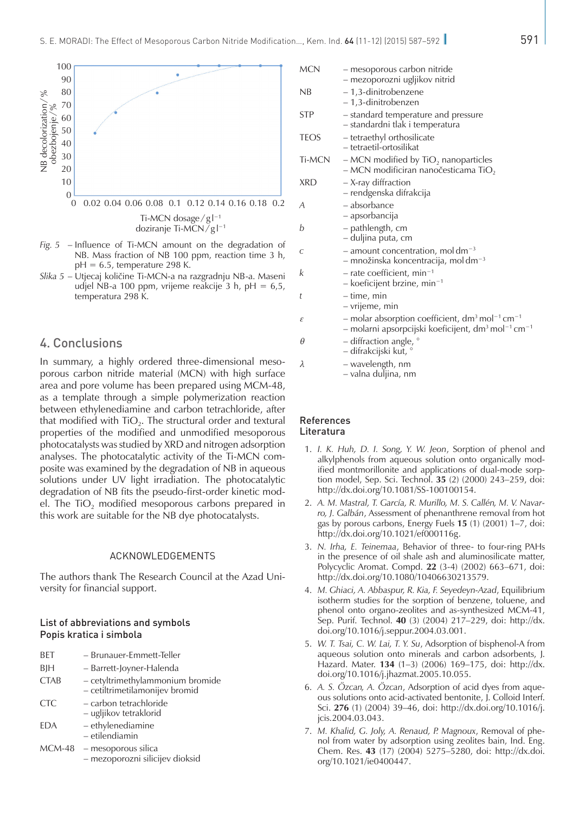

- *Fig.* 5 Influence of Ti-MCN amount on the degradation NB. Mass fraction of NB 100 ppm, reaction time 3  $pH = 6.5$ , temperature 298 K.
- *Slika 5* Utjecaj količine Ti-MCN-a na razgradnju NB-a. Maseni udjel NB-a 100 ppm, vrijeme reakcije 3 h, pH =  $6$ , temperatura 298 K.

### 4. Conclusions

In summary, a highly ordered three-dimensional mesoporous carbon nitride material (MCN) with high surface area and pore volume has been prepared using MCM-48, as a template through a simple polymerization reaction between ethylenediamine and carbon tetrachloride, after that modified with  $TiO<sub>2</sub>$ . The structural order and textural properties of the modified and unmodified mesoporous photocatalysts was studied by XRD and nitrogen adsorption analyses. The photocatalytic activity of the Ti-MCN composite was examined by the degradation of NB in aqueous solutions under UV light irradiation. The photocatalytic degradation of NB fits the pseudo-first-order kinetic model. The TiO<sub>2</sub> modified mesoporous carbons prepared in this work are suitable for the NB dye photocatalysts.

### ACKNOWLEDGEMENTS

The authors thank The Research Council at the Azad University for financial support.

### List of abbreviations and symbols Popis kratica i simbola

| <b>BET</b>  | - Brunauer-Emmett-Teller                                           |
|-------------|--------------------------------------------------------------------|
| BIH         | – Barrett-Joyner-Halenda                                           |
| <b>CTAB</b> | - cetyltrimethylammonium bromide<br>- cetiltrimetilamonijev bromid |
| <b>CTC</b>  | - carbon tetrachloride<br>– ugljikov tetraklorid                   |
| EDA         | - ethylenediamine<br>- etilendiamin                                |
|             | $MCM-48$ – mesoporous silica                                       |

– mezoporozni silicijev dioksid

|                | <b>MCN</b>    | - mesoporous carbon nitride<br>- mezoporozni ugljikov nitrid                                                                                                        |
|----------------|---------------|---------------------------------------------------------------------------------------------------------------------------------------------------------------------|
|                | NB            | - 1,3-dinitrobenzene<br>– 1,3-dinitrobenzen                                                                                                                         |
|                | <b>STP</b>    | - standard temperature and pressure<br>- standardni tlak i temperatura                                                                                              |
|                | <b>TEOS</b>   | - tetraethyl orthosilicate<br>- tetraetil-ortosilikat                                                                                                               |
|                | <b>Ti-MCN</b> | $-$ MCN modified by TiO <sub>2</sub> nanoparticles<br>- MCN modificiran nanočesticama $TiO2$                                                                        |
|                | <b>XRD</b>    | - X-ray diffraction<br>- rendgenska difrakcija                                                                                                                      |
| .2             | A             | – absorbance<br>– apsorbancija                                                                                                                                      |
|                | b             | – pathlength, cm<br>- duljina puta, cm                                                                                                                              |
| of<br>h,       | С             | $-$ amount concentration, moldm <sup>-3</sup><br>$-$ množinska koncentracija, moldm <sup>-3</sup>                                                                   |
| ni<br>5,       | k             | $-$ rate coefficient, min <sup>-1</sup><br>$-$ koeficijent brzine, min <sup>-1</sup>                                                                                |
|                | t             | – time, min<br>– vrijeme, min                                                                                                                                       |
|                | ε             | - molar absorption coefficient, $dm^3$ mol <sup>-1</sup> cm <sup>-1</sup><br>- molarni apsorpcijski koeficijent, dm <sup>3</sup> mol <sup>-1</sup> cm <sup>-1</sup> |
|                | θ             | $-$ diffraction angle, $^{\circ}$<br>– difrakcijski kut, °                                                                                                          |
| $\overline{C}$ | λ             | – wavelength, nm                                                                                                                                                    |

– valna duljina, nm

#### References Literatura

- 1. *I. K. Huh, D. I. Song, Y. W. Jeon*, Sorption of phenol and alkylphenols from aqueous solution onto organically modified montmorillonite and applications of dual-mode sorption model, Sep. Sci. Technol. **35** (2) (2000) 243–259, doi: [http://dx.doi.org/10.1081/SS-100100154.](http://dx.doi.org/10.1081/SS-100100154)
- 2. *A. M. Mastral, T. García, R. Murillo, M. S. Callén, M. V. Navarro, J. Galbán*, Assessment of phenanthrene removal from hot gas by porous carbons, Energy Fuels **15** (1) (2001) 1–7, doi: <http://dx.doi.org/10.1021/ef000116g>.
- 3. *N. Irha, E. Teinemaa*, Behavior of three- to four-ring PAHs in the presence of oil shale ash and aluminosilicate matter, Polycyclic Aromat. Compd. **22** (3-4) (2002) 663–671, doi: <http://dx.doi.org/10.1080/10406630213579>.
- 4. *M. Ghiaci, A. Abbaspur, R. Kia, F. Seyedeyn-Azad*, Equilibrium isotherm studies for the sorption of benzene, toluene, and phenol onto organo-zeolites and as-synthesized MCM-41, Sep. Purif. Technol. **40** (3) (2004) 217–229, doi: [http://dx.](http://dx.doi.org/10.1016/j.seppur.2004.03.001) [doi.org/10.1016/j.seppur.2004.03.001.](http://dx.doi.org/10.1016/j.seppur.2004.03.001)
- 5. *W. T. Tsai, C. W. Lai, T. Y. Su*, Adsorption of bisphenol-A from aqueous solution onto minerals and carbon adsorbents, J. Hazard. Mater. **134** (1–3) (2006) 169–175, doi: [http://dx.](http://dx.doi.org/10.1016/j.jhazmat.2005.10.055) [doi.org/10.1016/j.jhazmat.2005.10.055.](http://dx.doi.org/10.1016/j.jhazmat.2005.10.055)
- 6. *A. S. Özcan, A. Özcan*, Adsorption of acid dyes from aqueous solutions onto acid-activated bentonite, J. Colloid Interf. Sci. **276** (1) (2004) 39–46, doi: [http://dx.doi.org/10.1016/j.](http://dx.doi.org/10.1016/j.jcis.2004.03.043) [jcis.2004.03.043](http://dx.doi.org/10.1016/j.jcis.2004.03.043).
- 7. *M. Khalid, G. Joly, A. Renaud, P. Magnoux*, Removal of phenol from water by adsorption using zeolites bain, Ind. Eng. Chem. Res. **43** (17) (2004) 5275–5280, doi: [http://dx.doi.](http://dx.doi.org/10.1021/ie0400447) [org/10.1021/ie0400447.](http://dx.doi.org/10.1021/ie0400447)